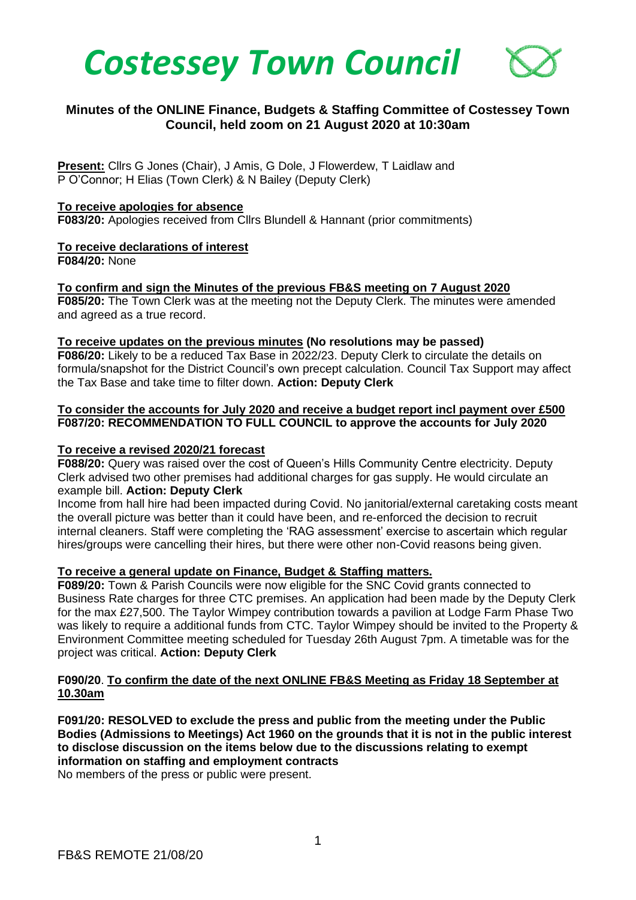



# **Minutes of the ONLINE Finance, Budgets & Staffing Committee of Costessey Town Council, held zoom on 21 August 2020 at 10:30am**

**Present:** Cllrs G Jones (Chair), J Amis, G Dole, J Flowerdew, T Laidlaw and P O'Connor; H Elias (Town Clerk) & N Bailey (Deputy Clerk)

## **To receive apologies for absence**

**F083/20:** Apologies received from Cllrs Blundell & Hannant (prior commitments)

#### **To receive declarations of interest F084/20:** None

**To confirm and sign the Minutes of the previous FB&S meeting on 7 August 2020 F085/20:** The Town Clerk was at the meeting not the Deputy Clerk. The minutes were amended and agreed as a true record.

## **To receive updates on the previous minutes (No resolutions may be passed)**

**F086/20:** Likely to be a reduced Tax Base in 2022/23. Deputy Clerk to circulate the details on formula/snapshot for the District Council's own precept calculation. Council Tax Support may affect the Tax Base and take time to filter down. **Action: Deputy Clerk**

## **To consider the accounts for July 2020 and receive a budget report incl payment over £500 F087/20: RECOMMENDATION TO FULL COUNCIL to approve the accounts for July 2020**

## **To receive a revised 2020/21 forecast**

**F088/20:** Query was raised over the cost of Queen's Hills Community Centre electricity. Deputy Clerk advised two other premises had additional charges for gas supply. He would circulate an example bill. **Action: Deputy Clerk**

Income from hall hire had been impacted during Covid. No janitorial/external caretaking costs meant the overall picture was better than it could have been, and re-enforced the decision to recruit internal cleaners. Staff were completing the 'RAG assessment' exercise to ascertain which regular hires/groups were cancelling their hires, but there were other non-Covid reasons being given.

### **To receive a general update on Finance, Budget & Staffing matters.**

**F089/20:** Town & Parish Councils were now eligible for the SNC Covid grants connected to Business Rate charges for three CTC premises. An application had been made by the Deputy Clerk for the max £27,500. The Taylor Wimpey contribution towards a pavilion at Lodge Farm Phase Two was likely to require a additional funds from CTC. Taylor Wimpey should be invited to the Property & Environment Committee meeting scheduled for Tuesday 26th August 7pm. A timetable was for the project was critical. **Action: Deputy Clerk** 

## **F090/20**. **To confirm the date of the next ONLINE FB&S Meeting as Friday 18 September at 10.30am**

**F091/20: RESOLVED to exclude the press and public from the meeting under the Public Bodies (Admissions to Meetings) Act 1960 on the grounds that it is not in the public interest to disclose discussion on the items below due to the discussions relating to exempt information on staffing and employment contracts**

No members of the press or public were present.